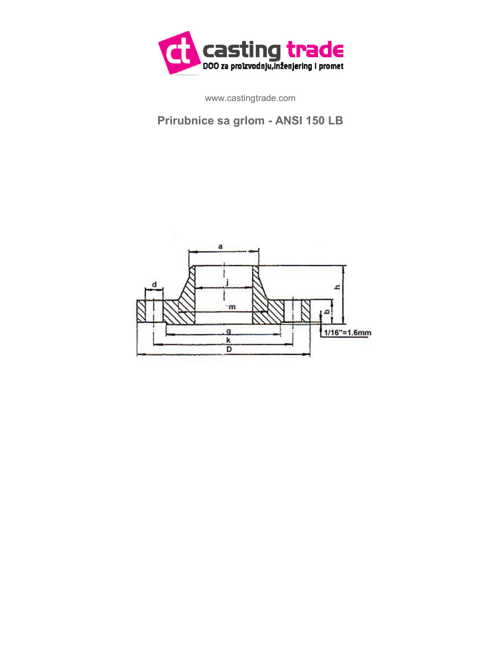

www.castingtrade.com

## **Prirubnice sa grlom - ANSI 150 LB**

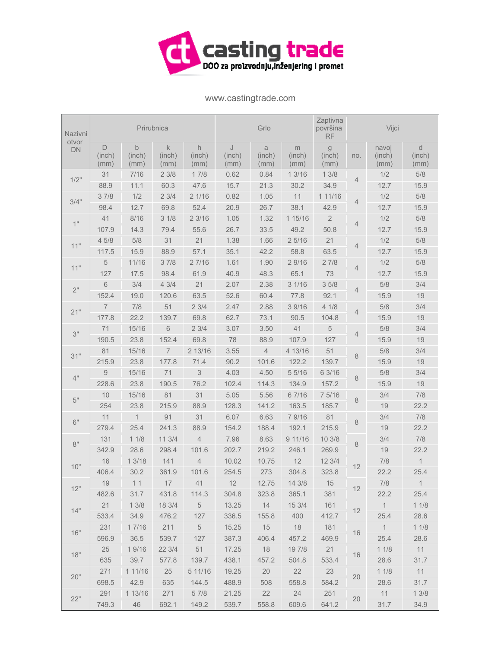

www.castingtrade.com

| Nazivni            | Prirubnica          |                     |                               |                     | Grlo                |                            |                     | Zaptivna<br>površina<br><b>RF</b> | Vijci |                         |                     |
|--------------------|---------------------|---------------------|-------------------------------|---------------------|---------------------|----------------------------|---------------------|-----------------------------------|-------|-------------------------|---------------------|
| otvor<br><b>DN</b> | D<br>(inch)<br>(mm) | b<br>(inch)<br>(mm) | $\mathsf k$<br>(inch)<br>(mm) | h<br>(inch)<br>(mm) | J<br>(inch)<br>(mm) | $\alpha$<br>(inch)<br>(mm) | m<br>(inch)<br>(mm) | g<br>(inch)<br>(mm)               | no.   | navoj<br>(inch)<br>(mm) | d<br>(inch)<br>(mm) |
| 1/2"               | 31                  | 7/16                | 23/8                          | 17/8                | 0.62                | 0.84                       | 13/16               | 13/8                              | 4     | 1/2                     | 5/8                 |
|                    | 88.9                | 11.1                | 60.3                          | 47.6                | 15.7                | 21.3                       | 30.2                | 34.9                              |       | 12.7                    | 15.9                |
| 3/4"               | 37/8                | 1/2                 | 23/4                          | 21/16               | 0.82                | 1.05                       | 11                  | 1 11/16                           | 4     | 1/2                     | $5/8$               |
|                    | 98.4                | 12.7                | 69.8                          | 52.4                | 20.9                | 26.7                       | 38.1                | 42.9                              |       | 12.7                    | 15.9                |
| 1"                 | 41                  | 8/16                | 31/8                          | 23/16               | 1.05                | 1.32                       | 1 15/16             | $\overline{2}$                    | 4     | 1/2                     | 5/8                 |
|                    | 107.9               | 14.3                | 79.4                          | 55.6                | 26.7                | 33.5                       | 49.2                | 50.8                              |       | 12.7                    | 15.9                |
| 11"                | 45/8                | 5/8                 | 31                            | 21                  | 1.38                | 1.66                       | 25/16               | 21                                | 4     | 1/2                     | 5/8                 |
|                    | 117.5               | 15.9                | 88.9                          | 57.1                | 35.1                | 42.2                       | 58.8                | 63.5                              |       | 12.7                    | 15.9                |
| 11"                | 5                   | 11/16               | 37/8                          | 27/16               | 1.61                | 1.90                       | 2 9/16              | 27/8                              | 4     | 1/2                     | 5/8                 |
|                    | 127                 | 17.5                | 98.4                          | 61.9                | 40.9                | 48.3                       | 65.1                | 73                                |       | 12.7                    | 15.9                |
| $2"$               | $6\,$               | 3/4                 | 43/4                          | 21                  | 2.07                | 2.38                       | 31/16               | 35/8                              | 4     | 5/8                     | 3/4                 |
|                    | 152.4               | 19.0                | 120.6                         | 63.5                | 52.6                | 60.4                       | 77.8                | 92.1                              |       | 15.9                    | 19                  |
| 21"                | $\overline{7}$      | 7/8                 | 51                            | 23/4                | 2.47                | 2.88                       | 3 9/16              | 41/8                              | 4     | 5/8                     | 3/4                 |
|                    | 177.8               | 22.2                | 139.7                         | 69.8                | 62.7                | 73.1                       | 90.5                | 104.8                             |       | 15.9                    | 19                  |
| 3"                 | 71                  | 15/16               | $\,$ 6 $\,$                   | 23/4                | 3.07                | 3.50                       | 41                  | $\,$ 5 $\,$                       | 4     | 5/8                     | 3/4                 |
|                    | 190.5               | 23.8                | 152.4                         | 69.8                | 78                  | 88.9                       | 107.9               | 127                               |       | 15.9                    | 19                  |
| 31"                | 81                  | 15/16               | $\overline{7}$                | 2 13/16             | 3.55                | $\overline{4}$             | 4 13/16             | 51                                | 8     | 5/8                     | 3/4                 |
|                    | 215.9               | 23.8                | 177.8                         | 71.4                | 90.2                | 101.6                      | 122.2               | 139.7                             |       | 15.9                    | 19                  |
| 4"                 | 9                   | 15/16               | 71                            | 3                   | 4.03                | 4.50                       | 55/16               | 6 3/16                            | 8     | 5/8                     | 3/4                 |
|                    | 228.6               | 23.8                | 190.5                         | 76.2                | 102.4               | 114.3                      | 134.9               | 157.2                             |       | 15.9                    | 19                  |
| $5"$               | 10                  | 15/16               | 81                            | 31                  | 5.05                | 5.56                       | 67/16               | 7 5/16                            | 8     | 3/4                     | 7/8                 |
|                    | 254                 | 23.8                | 215.9                         | 88.9                | 128.3               | 141.2                      | 163.5               | 185.7                             |       | 19                      | 22.2                |
| 6"                 | 11                  | $\mathbf{1}$        | 91                            | 31                  | 6.07                | 6.63                       | 7 9/16              | 81                                | 8     | 3/4                     | 7/8                 |
|                    | 279.4               | 25.4                | 241.3                         | 88.9                | 154.2               | 188.4                      | 192.1               | 215.9                             |       | 19                      | 22.2                |
| 8"                 | 131                 | 11/8                | 11 3/4                        | $\sqrt{4}$          | 7.96                | 8.63                       | 9 11/16             | 10 3/8                            | 8     | 3/4                     | $7/8$               |
|                    | 342.9               | 28.6                | 298.4                         | 101.6               | 202.7               | 219.2                      | 246.1               | 269.9                             |       | 19                      | 22.2                |
| 10"                | 16                  | 13/18               | 141                           | $\overline{4}$      | 10.02               | 10.75                      | 12                  | 12 3/4                            | 12    | 7/8                     | $\mathbf{1}$        |
|                    | 406.4               | 30.2                | 361.9                         | 101.6               | 254.5               | 273                        | 304.8               | 323.8                             |       | 22.2                    | 25.4                |
| 12"                | 19                  | 11                  | 17                            | 41                  | 12                  | 12.75                      | 143/8               | 15                                | 12    | 7/8                     | $\overline{1}$      |
|                    | 482.6               | 31.7                | 431.8                         | 114.3               | 304.8               | 323.8                      | 365.1               | 381                               |       | 22.2                    | 25.4                |
| 14"                | 21                  | 13/8                | 18 3/4                        | $5\overline{)}$     | 13.25               | 14                         | 153/4               | 161                               | 12    | $\overline{1}$          | 11/8                |
|                    | 533.4               | 34.9                | 476.2                         | 127                 | 336.5               | 155.8                      | 400                 | 412.7                             |       | 25.4                    | 28.6                |
| 16"                | 231                 | 17/16               | 211                           | $\overline{5}$      | 15.25               | 15                         | 18                  | 181                               | 16    | $\overline{1}$          | 11/8                |
|                    | 596.9               | 36.5                | 539.7                         | 127                 | 387.3               | 406.4                      | 457.2               | 469.9                             |       | 25.4                    | 28.6                |
| 18"                | 25                  | 19/16               | 22 3/4                        | 51                  | 17.25               | 18                         | 19 7/8              | 21                                | 16    | 11/8                    | 11                  |
|                    | 635                 | 39.7                | 577.8                         | 139.7               | 438.1               | 457.2                      | 504.8               | 533.4                             |       | 28.6                    | 31.7                |
| 20"                | 271                 | 1 1 1 / 1 6         | 25                            | 5 11/16             | 19.25               | 20                         | 22                  | 23                                | 20    | 11/8                    | 11                  |
|                    | 698.5               | 42.9                | 635                           | 144.5               | 488.9               | 508                        | 558.8               | 584.2                             |       | 28.6                    | 31.7                |
| 22"                | 291                 | 1 13/16             | 271                           | 5 7/8               | 21.25               | 22                         | 24                  | 251                               | 20    | 11                      | 13/8                |
|                    | 749.3               | 46                  | 692.1                         | 149.2               | 539.7               | 558.8                      | 609.6               | 641.2                             |       | 31.7                    | 34.9                |